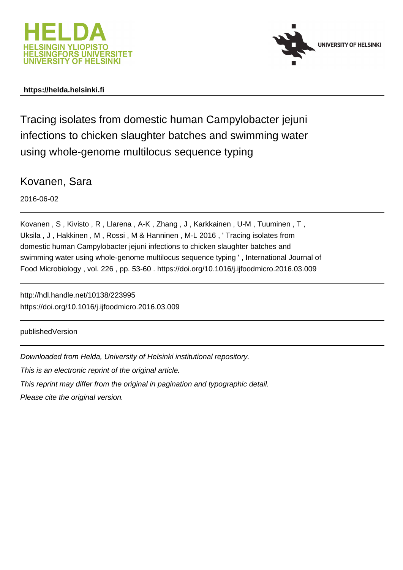



# **https://helda.helsinki.fi**

Tracing isolates from domestic human Campylobacter jejuni infections to chicken slaughter batches and swimming water using whole-genome multilocus sequence typing

Kovanen, Sara

2016-06-02

Kovanen , S , Kivisto , R , Llarena , A-K , Zhang , J , Karkkainen , U-M , Tuuminen , T , Uksila , J , Hakkinen , M , Rossi , M & Hanninen , M-L 2016 , ' Tracing isolates from domestic human Campylobacter jejuni infections to chicken slaughter batches and swimming water using whole-genome multilocus sequence typing ' , International Journal of Food Microbiology , vol. 226 , pp. 53-60 . https://doi.org/10.1016/j.ijfoodmicro.2016.03.009

http://hdl.handle.net/10138/223995 https://doi.org/10.1016/j.ijfoodmicro.2016.03.009

publishedVersion

Downloaded from Helda, University of Helsinki institutional repository.

This is an electronic reprint of the original article.

This reprint may differ from the original in pagination and typographic detail.

Please cite the original version.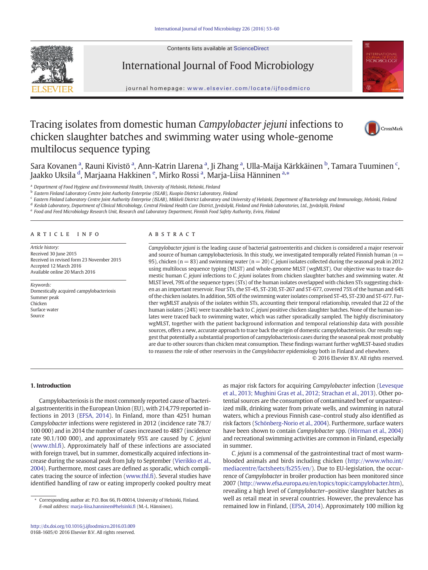Contents lists available at [ScienceDirect](http://www.sciencedirect.com/science/journal/01681605)



# International Journal of Food Microbiology



journal homepage: <www.elsevier.com/locate/ijfoodmicro>

# Tracing isolates from domestic human Campylobacter jejuni infections to chicken slaughter batches and swimming water using whole-genome multilocus sequence typing



Sara Kovanen <sup>a</sup>, Rauni Kivistö <sup>a</sup>, Ann-Katrin Llarena <sup>a</sup>, Ji Zhang <sup>a</sup>, Ulla-Maija Kärkkäinen <sup>b</sup>, Tamara Tuuminen <sup>c</sup>, Jaakko Uksila <sup>d</sup>, Marjaana Hakkinen <sup>e</sup>, Mirko Rossi <sup>a</sup>, Marja-Liisa Hänninen <sup>a,</sup>\*

<sup>a</sup> Department of Food Hygiene and Environmental Health, University of Helsinki, Helsinki, Finland

<sup>b</sup> Eastern Finland Laboratory Centre Joint Authority Enterprise (ISLAB), Kuopio District Laboratory, Finland

<sup>c</sup> Eastern Finland Laboratory Centre Joint Authority Enterprise (ISLAB), Mikkeli District Laboratory and University of Helsinki, Department of Bacteriology and Immunology, Helsinki, Finland

<sup>d</sup> Keslab Laboratory, Department of Clinical Microbiology, Central Finland Health Care District, Jyväskylä, Finland and Fimlab Laboratories, Ltd., Jyväskylä, Finland

## article info abstract

Article history: Received 30 June 2015 Received in revised form 23 November 2015 Accepted 12 March 2016 Available online 20 March 2016

Keywords: Domestically acquired campylobacteriosis Summer peak Chicken Surface water Source

Campylobacter jejuni is the leading cause of bacterial gastroenteritis and chicken is considered a major reservoir and source of human campylobacteriosis. In this study, we investigated temporally related Finnish human ( $n =$ 95), chicken (n = 83) and swimming water (n = 20) C. jejuni isolates collected during the seasonal peak in 2012 using multilocus sequence typing (MLST) and whole-genome MLST (wgMLST). Our objective was to trace domestic human C. jejuni infections to C. jejuni isolates from chicken slaughter batches and swimming water. At MLST level, 79% of the sequence types (STs) of the human isolates overlapped with chicken STs suggesting chicken as an important reservoir. Four STs, the ST-45, ST-230, ST-267 and ST-677, covered 75% of the human and 64% of the chicken isolates. In addition, 50% of the swimming water isolates comprised ST-45, ST-230 and ST-677. Further wgMLST analysis of the isolates within STs, accounting their temporal relationship, revealed that 22 of the human isolates (24%) were traceable back to C. jejuni positive chicken slaughter batches. None of the human isolates were traced back to swimming water, which was rather sporadically sampled. The highly discriminatory wgMLST, together with the patient background information and temporal relationship data with possible sources, offers a new, accurate approach to trace back the origin of domestic campylobacteriosis. Our results suggest that potentially a substantial proportion of campylobacteriosis cases during the seasonal peak most probably are due to other sources than chicken meat consumption. These findings warrant further wgMLST-based studies to reassess the role of other reservoirs in the Campylobacter epidemiology both in Finland and elsewhere.

© 2016 Elsevier B.V. All rights reserved.

## 1. Introduction

Campylobacteriosis is the most commonly reported cause of bacterial gastroenteritis in the European Union (EU), with 214,779 reported infections in 2013 (EFSA, 2014). In Finland, more than 4251 human Campylobacter infections were registered in 2012 (incidence rate 78.7/ 100 000) and in 2014 the number of cases increased to 4887 (incidence rate 90.1/100 000), and approximately 95% are caused by C. jejuni [\(www.thl.](http://www.thl.fi)fi). Approximately half of these infections are associated with foreign travel, but in summer, domestically acquired infections increase during the seasonal peak from July to September (Vierikko et al., 2004). Furthermore, most cases are defined as sporadic, which complicates tracing the source of infection [\(www.thl.](http://www.thl.fi)fi). Several studies have identified handling of raw or eating improperly cooked poultry meat as major risk factors for acquiring Campylobacter infection (Levesque et al., 2013; Mughini Gras et al., 2012; Strachan et al., 2013). Other potential sources are the consumption of contaminated beef or unpasteurized milk, drinking water from private wells, and swimming in natural waters, which a previous Finnish case–control study also identified as risk factors (Schönberg-Norio et al., 2004). Furthermore, surface waters have been shown to contain Campylobacter spp. (Hörman et al., 2004) and recreational swimming activities are common in Finland, especially in summer.

C. jejuni is a commensal of the gastrointestinal tract of most warmblooded animals and birds including chicken ([http://www.who.int/](http://www.who.int/mediacentre/factsheets/fs255/en/) [mediacentre/factsheets/fs255/en/\)](http://www.who.int/mediacentre/factsheets/fs255/en/). Due to EU-legislation, the occurrence of Campylobacter in broiler production has been monitored since 2007 [\(http://www.efsa.europa.eu/en/topics/topic/campylobacter.htm](http://www.efsa.europa.eu/en/topics/topic/campylobacter.htm)), revealing a high level of Campylobacter–positive slaughter batches as well as retail meat in several countries. However, the prevalence has remained low in Finland, (EFSA, 2014). Approximately 100 million kg

<sup>e</sup> Food and Feed Microbiology Research Unit, Research and Laboratory Department, Finnish Food Safety Authority, Evira, Finland

Corresponding author at: P.O. Box 66, FI-00014, University of Helsinki, Finland. E-mail address: [marja-liisa.hanninen@helsinki.](mailto:marja-liisa.hanninen@helsinki.fi)fi (M.-L. Hänninen).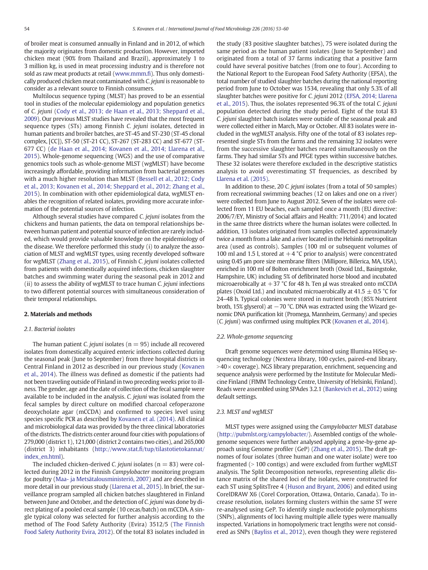of broiler meat is consumed annually in Finland and in 2012, of which the majority originates from domestic production. However, imported chicken meat (90% from Thailand and Brazil), approximately 1 to 3 million kg, is used in meat processing industry and is therefore not sold as raw meat products at retail [\(www.mmm.](http://www.mmm.fi)fi). Thus only domestically produced chicken meat contaminated with C. jejuni is reasonable to consider as a relevant source to Finnish consumers.

Multilocus sequence typing (MLST) has proved to be an essential tool in studies of the molecular epidemiology and population genetics of C. jejuni (Cody et al., 2013; de Haan et al., 2013; Sheppard et al., 2009). Our previous MLST studies have revealed that the most frequent sequence types (STs) among Finnish C. jejuni isolates, detected in human patients and broiler batches, are ST-45 and ST-230 (ST-45 clonal complex, [CC]), ST-50 (ST-21 CC), ST-267 (ST-283 CC) and ST-677 (ST-677 CC) (de Haan et al., 2014; Kovanen et al., 2014; Llarena et al., 2015). Whole-genome sequencing (WGS) and the use of comparative genomics tools such as whole-genome MLST (wgMLST) have become increasingly affordable, providing information from bacterial genomes with a much higher resolution than MLST (Bessell et al., 2012; Cody et al., 2013; Kovanen et al., 2014; Sheppard et al., 2012; Zhang et al., 2015). In combination with other epidemiological data, wgMLST enables the recognition of related isolates, providing more accurate information of the potential sources of infection.

Although several studies have compared C. jejuni isolates from the chickens and human patients, the data on temporal relationships between human patient and potential source of infection are rarely included, which would provide valuable knowledge on the epidemiology of the disease. We therefore performed this study (i) to analyze the association of MLST and wgMLST types, using recently developed software for wgMLST (Zhang et al., 2015), of Finnish C. jejuni isolates collected from patients with domestically acquired infections, chicken slaughter batches and swimming water during the seasonal peak in 2012 and (ii) to assess the ability of wgMLST to trace human C. jejuni infections to two different potential sources with simultaneous consideration of their temporal relationships.

# 2. Materials and methods

## 2.1. Bacterial isolates

The human patient C, *jejuni* isolates ( $n = 95$ ) include all recovered isolates from domestically acquired enteric infections collected during the seasonal peak (June to September) from three hospital districts in Central Finland in 2012 as described in our previous study (Kovanen et al., 2014). The illness was defined as domestic if the patients had not been traveling outside of Finland in two preceding weeks prior to illness. The gender, age and the date of collection of the fecal sample were available to be included in the analysis. C. jejuni was isolated from the fecal samples by direct culture on modified charcoal cefoperazone deoxycholate agar (mCCDA) and confirmed to species level using species specific PCR as described by Kovanen et al. (2014). All clinical and microbiological data was provided by the three clinical laboratories of the districts. The districts center around four cities with populations of 279,000 (district 1), 121,000 (district 2 contains two cities), and 265,000 (district 3) inhabitants (http://www.stat.fi[/tup/tilastotietokannat/](http://www.stat.fi/tup/tilastotietokannat/index_en.html) [index\\_en.html\)](http://www.stat.fi/tup/tilastotietokannat/index_en.html).

The included chicken-derived C. jejuni isolates ( $n = 83$ ) were collected during 2012 in the Finnish Campylobacter monitoring program for poultry (Maa- ja Metsätalousministeriö, 2007) and are described in more detail in our previous study (Llarena et al., 2015). In brief, the surveillance program sampled all chicken batches slaughtered in Finland between June and October, and the detection of C. jejuni was done by direct plating of a pooled cecal sample (10 cecas/batch) on mCCDA. A single typical colony was selected for further analysis according to the method of The Food Safety Authority (Evira) 3512/5 (The Finnish Food Safety Authority Evira, 2012). Of the total 83 isolates included in the study (83 positive slaughter batches), 75 were isolated during the same period as the human patient isolates (June to September) and originated from a total of 37 farms indicating that a positive farm could have several positive batches (from one to four). According to the National Report to the European Food Safety Authority (EFSA), the total number of studied slaughter batches during the national reporting period from June to October was 1534, revealing that only 5.3% of all slaughter batches were positive for C. jejuni 2012 (EFSA, 2014; Llarena et al., 2015). Thus, the isolates represented 96.3% of the total C. jejuni population detected during the study period. Eight of the total 83 C. jejuni slaughter batch isolates were outside of the seasonal peak and were collected either in March, May or October. All 83 isolates were included in the wgMLST analysis. Fifty one of the total of 83 isolates represented single STs from the farms and the remaining 32 isolates were from the successive slaughter batches reared simultaneously on the farms. They had similar STs and PFGE types within successive batches. These 32 isolates were therefore excluded in the descriptive statistics analysis to avoid overestimating ST frequencies, as described by Llarena et al. (2015).

In addition to these, 20 C. jejuni isolates (from a total of 50 samples) from recreational swimming beaches (12 on lakes and one on a river) were collected from June to August 2012. Seven of the isolates were collected from 11 EU beaches, each sampled once a month (EU directive: 2006/7/EY, Ministry of Social affairs and Health: 711/2014) and located in the same three districts where the human isolates were collected. In addition, 13 isolates originated from samples collected approximately twice a month from a lake and a river located in the Helsinki metropolitan area (used as controls). Samples (100 ml or subsequent volumes of 100 ml and 1.5 l, stored at  $+4$  °C prior to analysis) were concentrated using 0.45 μm pore size membrane filters (Millipore, Billerica, MA, USA), enriched in 100 ml of Bolton enrichment broth (Oxoid Ltd., Basingstoke, Hampshire, UK) including 5% of defibrinated horse blood and incubated microaerobically at  $+37$  °C for 48 h. Ten μl was streaked onto mCCDA plates (Oxoid Ltd.) and incubated microaerobically at 41.5  $\pm$  0.5 °C for 24–48 h. Typical colonies were stored in nutrient broth (85% Nutrient broth, 15% glyserol) at  $-70$  °C. DNA was extracted using the Wizard genomic DNA purification kit (Promega, Mannheim, Germany) and species (C. jejuni) was confirmed using multiplex PCR (Kovanen et al., 2014).

## 2.2. Whole-genome sequencing

Draft genome sequences were determined using Illumina HiSeq sequencing technology (Nextera library, 100 cycles, paired-end library,  $>40\times$  coverage). NGS library preparation, enrichment, sequencing and sequence analysis were performed by the Institute for Molecular Medicine Finland (FIMM Technology Centre, University of Helsinki, Finland). Reads were assembled using SPAdes 3.2.1 (Bankevich et al., 2012) using default settings.

#### 2.3. MLST and wgMLST

MLST types were assigned using the Campylobacter MLST database [\(http://pubmlst.org/campylobacter/](http://pubmlst.org/campylobacter/)). Assembled contigs of the wholegenome sequences were further analysed applying a gene-by-gene approach using Genome profiler (GeP) (Zhang et al., 2015). The draft genomes of four isolates (three human and one water isolate) were too fragmented  $(> 100$  contigs) and were excluded from further wgMLST analysis. The Split Decomposition networks, representing allelic distance matrix of the shared loci of the isolates, were constructed for each ST using SplitsTree 4 (Huson and Bryant, 2006) and edited using CorelDRAW X6 (Corel Corporation, Ottawa, Ontario, Canada). To increase resolution, isolates forming clusters within the same ST were re-analysed using GeP. To identify single nucleotide polymorphisms (SNPs), alignments of loci having multiple allele types were manually inspected. Variations in homopolymeric tract lengths were not considered as SNPs (Bayliss et al., 2012), even though they were registered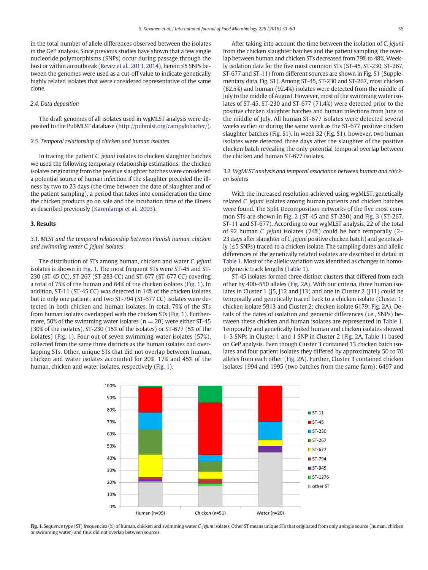in the total number of allele differences observed between the isolates in the GeP analysis. Since previous studies have shown that a few single nucleotide polymorphisms (SNPs) occur during passage through the host or within an outbreak (Revez et al., 2013, 2014), herein ≤5 SNPs between the genomes were used as a cut-off value to indicate genetically highly related isolates that were considered representative of the same clone.

## 2.4. Data deposition

The draft genomes of all isolates used in wgMLST analysis were deposited to the PubMLST database (<http://pubmlst.org/campylobacter/>).

# 2.5. Temporal relationship of chicken and human isolates

In tracing the patient C. jejuni isolates to chicken slaughter batches we used the following temporary relationship estimations: the chicken isolates originating from the positive slaughter batches were considered a potential source of human infection if the slaughter preceded the illness by two to 23 days (the time between the date of slaughter and of the patient sampling), a period that takes into consideration the time the chicken products go on sale and the incubation time of the illness as described previously (Kärenlampi et al., 2003).

#### 3. Results

# 3.1. MLST and the temporal relationship between Finnish human, chicken and swimming water C. jejuni isolates

The distribution of STs among human, chicken and water C. jejuni isolates is shown in Fig. 1. The most frequent STs were ST-45 and ST-230 (ST-45 CC), ST-267 (ST-283 CC) and ST-677 (ST-677 CC) covering a total of 75% of the human and 64% of the chicken isolates (Fig. 1). In addition, ST-11 (ST-45 CC) was detected in 14% of the chicken isolates but in only one patient; and two ST-794 (ST-677 CC) isolates were detected in both chicken and human isolates. In total, 79% of the STs from human isolates overlapped with the chicken STs (Fig. 1). Furthermore, 50% of the swimming water isolates ( $n = 20$ ) were either ST-45 (30% of the isolates), ST-230 (15% of the isolates) or ST-677 (5% of the isolates) (Fig. 1). Four out of seven swimming water isolates (57%), collected from the same three districts as the human isolates had overlapping STs. Other, unique STs that did not overlap between human, chicken and water isolates accounted for 20%, 17% and 45% of the human, chicken and water isolates, respectively (Fig. 1).

After taking into account the time between the isolation of C. jejuni from the chicken slaughter batches and the patient sampling, the overlap between human and chicken STs decreased from 79% to 48%. Weekly isolation data for the five most common STs (ST-45, ST-230, ST-267, ST-677 and ST-11) from different sources are shown in Fig. S1 (Supplementary data, Fig. S1). Among ST-45, ST-230 and ST-267, most chicken (82.5%) and human (92.4%) isolates were detected from the middle of July to the middle of August. However, most of the swimming water isolates of ST-45, ST-230 and ST-677 (71.4%) were detected prior to the positive chicken slaughter batches and human infections from June to the middle of July. All human ST-677 isolates were detected several weeks earlier or during the same week as the ST-677 positive chicken slaughter batches (Fig. S1). In week 32 (Fig. S1), however, two human isolates were detected three days after the slaughter of the positive chicken batch revealing the only potential temporal overlap between the chicken and human ST-677 isolates.

# 3.2. WgMLST analysis and temporal association between human and chicken isolates

With the increased resolution achieved using wgMLST, genetically related C. jejuni isolates among human patients and chicken batches were found. The Split Decomposition networks of the five most common STs are shown in Fig. 2 (ST-45 and ST-230) and Fig. 3 (ST-267, ST-11 and ST-677). According to our wgMLST analysis, 22 of the total of 92 human C. jejuni isolates (24%) could be both temporally (2– 23 days after slaughter of C. jejuni positive chicken batch) and genetically (≤5 SNPs) traced to a chicken isolate. The sampling dates and allelic differences of the genetically related isolates are described in detail in Table 1. Most of the allelic variation was identified as changes in homopolymeric track lengths (Table 1).

ST-45 isolates formed three distinct clusters that differed from each other by 400–550 alleles (Fig. 2A). With our criteria, three human isolates in Cluster 1 (J5, J12 and J13) and one in Cluster 2 (J11) could be temporally and genetically traced back to a chicken isolate (Cluster 1: chicken isolate 5913 and Cluster 2: chicken isolate 6179; Fig. 2A). Details of the dates of isolation and genomic differences (i.e., SNPs) between these chicken and human isolates are represented in Table 1. Temporally and genetically linked human and chicken isolates showed 1–3 SNPs in Cluster 1 and 1 SNP in Cluster 2 (Fig. 2A, Table 1) based on GeP analysis. Even though Cluster 3 contained 13 chicken batch isolates and four patient isolates they differed by approximately 50 to 70 alleles from each other (Fig. 2A). Further, Cluster 3 contained chicken isolates 1994 and 1995 (two batches from the same farm); 6497 and



Fig. 1. Sequence type (ST) frequencies (%) of human, chicken and swimming water C. jejuni isolates. Other ST means unique STs that originated from only a single source (human, chicken or swimming water) and thus did not overlap between sources.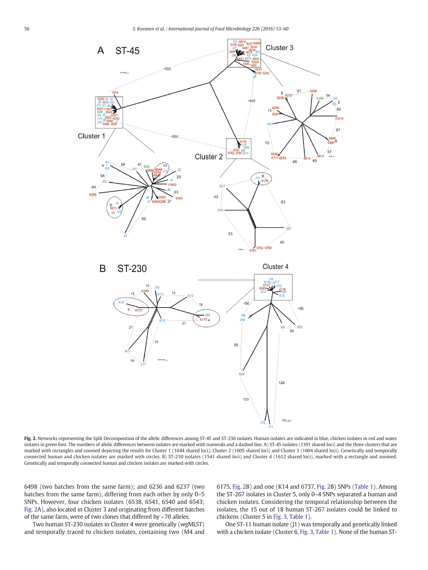

Fig. 2. Networks representing the Split Decomposition of the allelic differences among ST-45 and ST-230 isolates. Human isolates are indicated in blue, chicken isolates in red and water isolates in green font. The numbers of allelic differences between isolates are marked with numerals and a dashed line. A) ST-45 isolates (1391 shared loci) and the three clusters that are marked with rectangles and zoomed depicting the results for Cluster 1 (1644 shared loci), Cluster 2 (1605 shared loci) and Cluster 3 (1604 shared loci). Genetically and temporally connected human and chicken isolates are marked with circles. B) ST-230 isolates (1541 shared loci) and Cluster 4 (1612 shared loci), marked with a rectangle and zoomed. Genetically and temporally connected human and chicken isolates are marked with circles.

6498 (two batches from the same farm); and 6236 and 6237 (two batches from the same farm), differing from each other by only 0–5 SNPs. However, four chicken isolates (6538, 6541, 6540 and 6543; Fig. 2A), also located in Cluster 3 and originating from different batches of the same farm, were of two clones that differed by ~70 alleles.

Two human ST-230 isolates in Cluster 4 were genetically (wgMLST) and temporally traced to chicken isolates, containing two (M4 and 6175, Fig. 2B) and one (K14 and 6737, Fig. 2B) SNPs (Table 1). Among the ST-267 isolates in Cluster 5, only 0–4 SNPs separated a human and chicken isolates. Considering the temporal relationship between the isolates, the 15 out of 18 human ST-267 isolates could be linked to chickens (Cluster 5 in Fig. 3, Table 1).

One ST-11 human isolate (J1) was temporally and genetically linked with a chicken isolate (Cluster 6, Fig. 3, Table 1). None of the human ST-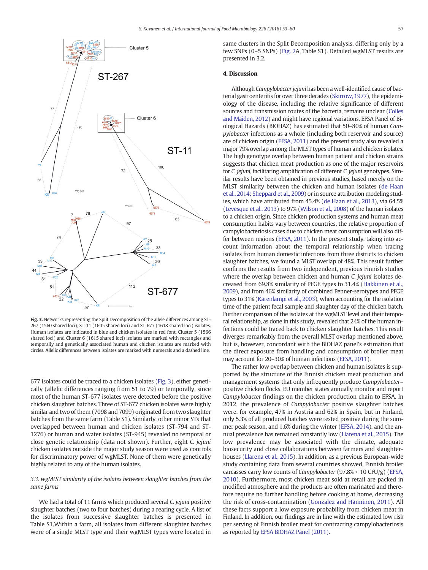

Fig. 3. Networks representing the Split Decomposition of the allele differences among ST-267 (1560 shared loci), ST-11 (1605 shared loci) and ST-677 (1618 shared loci) isolates. Human isolates are indicated in blue and chicken isolates in red font. Cluster 5 (1566 shared loci) and Cluster 6 (1615 shared loci) isolates are marked with rectangles and temporally and genetically associated human and chicken isolates are marked with circles. Allelic differences between isolates are marked with numerals and a dashed line.

677 isolates could be traced to a chicken isolates (Fig. 3), either genetically (allelic differences ranging from 51 to 79) or temporally, since most of the human ST-677 isolates were detected before the positive chicken slaughter batches. Three of ST-677 chicken isolates were highly similar and two of them (7098 and 7099) originated from two slaughter batches from the same farm (Table S1). Similarly, other minor STs that overlapped between human and chicken isolates (ST-794 and ST-1276) or human and water isolates (ST-945) revealed no temporal or close genetic relationship (data not shown). Further, eight C. jejuni chicken isolates outside the major study season were used as controls for discriminatory power of wgMLST. None of them were genetically highly related to any of the human isolates.

# 3.3. wgMLST similarity of the isolates between slaughter batches from the same farms

We had a total of 11 farms which produced several C. *jejuni* positive slaughter batches (two to four batches) during a rearing cycle. A list of the isolates from successive slaughter batches is presented in Table S1.Within a farm, all isolates from different slaughter batches were of a single MLST type and their wgMLST types were located in

same clusters in the Split Decomposition analysis, differing only by a few SNPs (0–5 SNPs) (Fig. 2A, Table S1). Detailed wgMLST results are presented in 3.2.

# 4. Discussion

Although Campylobacter jejuni has been a well-identified cause of bacterial gastroenteritis for over three decades (Skirrow, 1977), the epidemiology of the disease, including the relative significance of different sources and transmission routes of the bacteria, remains unclear (Colles and Maiden, 2012) and might have regional variations. EFSA Panel of Biological Hazards (BIOHAZ) has estimated that 50–80% of human Campylobacter infections as a whole (including both reservoir and source) are of chicken origin (EFSA, 2011) and the present study also revealed a major 79% overlap among the MLST types of human and chicken isolates. The high genotype overlap between human patient and chicken strains suggests that chicken meat production as one of the major reservoirs for C. jejuni, facilitating amplification of different C. jejuni genotypes. Similar results have been obtained in previous studies, based merely on the MLST similarity between the chicken and human isolates (de Haan et al., 2014; Sheppard et al., 2009) or in source attribution modeling studies, which have attributed from 45.4% (de Haan et al., 2013), via 64.5% (Levesque et al., 2013) to 97% (Wilson et al., 2008) of the human isolates to a chicken origin. Since chicken production systems and human meat consumption habits vary between countries, the relative proportion of campylobacteriosis cases due to chicken meat consumption will also differ between regions (EFSA, 2011). In the present study, taking into account information about the temporal relationship when tracing isolates from human domestic infections from three districts to chicken slaughter batches, we found a MLST overlap of 48%. This result further confirms the results from two independent, previous Finnish studies where the overlap between chicken and human C. *jejuni* isolates decreased from 69.8% similarity of PFGE types to 31.4% (Hakkinen et al., 2009), and from 46% similarity of combined Penner-serotypes and PFGE types to 31% (Kärenlampi et al., 2003), when accounting for the isolation time of the patient fecal sample and slaughter day of the chicken batch. Further comparison of the isolates at the wgMLST level and their temporal relationship, as done in this study, revealed that 24% of the human infections could be traced back to chicken slaughter batches. This result diverges remarkably from the overall MLST overlap mentioned above, but is, however, concordant with the BIOHAZ panel's estimation that the direct exposure from handling and consumption of broiler meat may account for 20–30% of human infections (EFSA, 2011).

The rather low overlap between chicken and human isolates is supported by the structure of the Finnish chicken meat production and management systems that only infrequently produce Campylobacter– positive chicken flocks. EU member states annually monitor and report Campylobacter findings on the chicken production chain to EFSA. In 2012, the prevalence of Campylobacter positive slaughter batches were, for example, 47% in Austria and 62% in Spain, but in Finland, only 5.3% of all produced batches were tested positive during the summer peak season, and 1.6% during the winter (EFSA, 2014), and the annual prevalence has remained constantly low (Llarena et al., 2015). The low prevalence may be associated with the climate, adequate biosecurity and close collaborations between farmers and slaughterhouses (Llarena et al., 2015). In addition, as a previous European-wide study containing data from several countries showed, Finnish broiler carcasses carry low counts of Campylobacter (97.8% < 10 CFU/g) (EFSA, 2010). Furthermore, most chicken meat sold at retail are packed in modified atmosphere and the products are often marinated and therefore require no further handling before cooking at home, decreasing the risk of cross-contamination (Gonzalez and Hänninen, 2011). All these facts support a low exposure probability from chicken meat in Finland. In addition, our findings are in line with the estimated low risk per serving of Finnish broiler meat for contracting campylobacteriosis as reported by EFSA BIOHAZ Panel (2011).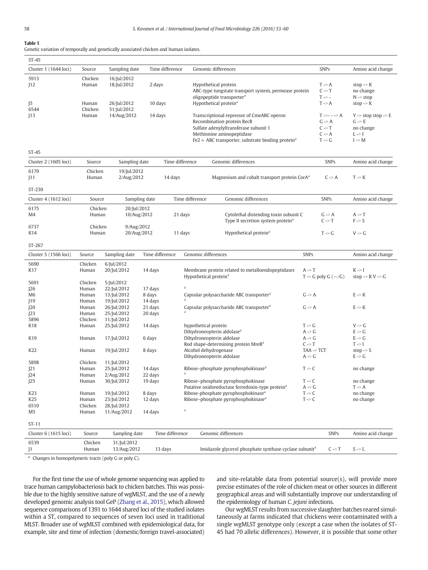# Table 1

Genetic variation of temporally and genetically associated chicken and human isolates.

| $ST-45$               |                |                            |                   |                 |                                   |                                                                               |                       |                                            |                                         |
|-----------------------|----------------|----------------------------|-------------------|-----------------|-----------------------------------|-------------------------------------------------------------------------------|-----------------------|--------------------------------------------|-----------------------------------------|
| Cluster 1 (1644 loci) | Source         | Sampling date              |                   | Time difference |                                   | Genomic differences                                                           |                       | <b>SNPs</b>                                | Amino acid change                       |
| 5913                  | Chicken        | 16/Jul/2012                |                   |                 |                                   |                                                                               |                       |                                            |                                         |
| 12                    | Human          | 18/Jul/2012                | 2 days            |                 |                                   | Hypothetical protein<br>ABC-type tungstate transport system, permease protein |                       | $T \rightarrow A$<br>$C \rightarrow T$     | stop $\rightarrow$ K<br>no change       |
|                       |                |                            |                   |                 |                                   | oligopeptide transporter <sup>a</sup>                                         |                       | $T \rightarrow -$                          | $N \gg stop$                            |
| J5                    | Human          | 26/Jul/2012                | 10 days           |                 |                                   | Hypothetical protein <sup>a</sup>                                             |                       | $T \rightarrow A$                          | stop $\rightarrow$ K                    |
| 6544                  | Chicken        | 31/Jul/2012                |                   |                 |                                   |                                                                               |                       |                                            |                                         |
| 13                    | Human          | 14/Aug/2012                |                   | 14 days         |                                   | Transcriptional repressor of CmeABC operon                                    |                       | $T \rightarrow - - \rightarrow A$          | $Y \rightarrow stop stop \rightarrow E$ |
|                       |                |                            |                   |                 |                                   | Recombination protein RecR<br>Sulfate adenylyltransferase subunit 1           |                       | $G \rightarrow A$<br>$C \rightarrow T$     | $G \rightarrow E$<br>no change          |
|                       |                |                            |                   |                 |                                   | Methionine aminopeptidase                                                     |                       | $C \rightarrow A$                          | $L \rightarrow I$                       |
|                       |                |                            |                   |                 |                                   | Fe2 + ABC transporter, substrate binding protein <sup>a</sup>                 |                       | $T \rightarrow G$                          | $I \rightarrow M$                       |
|                       |                |                            |                   |                 |                                   |                                                                               |                       |                                            |                                         |
| $ST-45$               |                |                            |                   |                 |                                   |                                                                               |                       |                                            |                                         |
| Cluster 2 (1605 loci) | Source         | Sampling date              |                   | Time difference |                                   | Genomic differences                                                           |                       | <b>SNPs</b>                                | Amino acid change                       |
| 6179                  | Chicken        | 19/Jul/2012                |                   |                 |                                   |                                                                               |                       |                                            |                                         |
| J11                   | Human          | 2/Aug/2012                 |                   | 14 days         |                                   | Magnesium and cobalt transport protein CorA <sup>a</sup>                      |                       | $C \rightarrow A$                          | $T \rightarrow K$                       |
| ST-230                |                |                            |                   |                 |                                   |                                                                               |                       |                                            |                                         |
| Cluster 4 (1612 loci) | Source         | Sampling date              |                   |                 | Time difference                   | Genomic differences                                                           |                       | <b>SNPs</b>                                | Amino acid change                       |
| 6175                  | Chicken        | 20/Jul/2012                |                   |                 |                                   |                                                                               |                       |                                            |                                         |
| M4                    | Human          | 10/Aug/2012                |                   | 21 days         |                                   | Cytolethal distending toxin subunit C                                         |                       | $G \rightarrow A$                          | $A \rightarrow T$                       |
|                       |                |                            |                   |                 |                                   | Type II secretion system protein <sup>a</sup>                                 |                       | $C \rightarrow T$                          | $F \rightarrow S$                       |
| 6737                  | Chicken        | 9/Aug/2012                 |                   |                 |                                   |                                                                               |                       |                                            |                                         |
| K14                   | Human          | 20/Aug/2012                |                   | 11 days         |                                   | Hypothetical protein <sup>a</sup>                                             |                       | $T \rightarrow G$                          | $V \rightarrow G$                       |
| ST-267                |                |                            |                   |                 |                                   |                                                                               |                       |                                            |                                         |
| Cluster 5 (1566 loci) | Source         | Sampling date              | Time difference   |                 | Genomic differences               |                                                                               | <b>SNPs</b>           |                                            | Amino acid change                       |
| 5690                  | Chicken        | 6/Jul/2012                 |                   |                 |                                   |                                                                               |                       |                                            |                                         |
| K17                   | Human          | 20/Jul/2012                | 14 days           |                 |                                   | Membrane protein related to metalloendopeptidases                             | $A \rightarrow T$     |                                            | $K \rightarrow I$                       |
|                       |                |                            |                   |                 | Hypothetical protein <sup>a</sup> |                                                                               |                       | $T \rightarrow G$ poly $G$ ( $-\angle G$ ) | stop $\Rightarrow$ RV $\Rightarrow$ G   |
| 5691                  | Chicken        | 5/Jul/2012                 |                   |                 |                                   |                                                                               |                       |                                            |                                         |
| 26<br>M6              | Human<br>Human | 22/Jul/2012<br>13/Jul/2012 | 17 days<br>8 days |                 |                                   | Capsular polysaccharide ABC transporter <sup>a</sup>                          | $G \rightarrow A$     |                                            | $E \rightarrow K$                       |
| 19                    | Human          | 19/Jul/2012                | 14 days           |                 |                                   |                                                                               |                       |                                            |                                         |
| 20                    | Human          | 26/Jul/2012                | 21 days           |                 |                                   | Capsular polysaccharide ABC transporter <sup>a</sup>                          | $G \rightarrow A$     |                                            | $E \rightarrow K$                       |
| 23                    | Human          | 25/Jul/2012                | 20 days           | a               |                                   |                                                                               |                       |                                            |                                         |
| 5896                  | Chicken        | 11/Jul/2012                |                   |                 |                                   |                                                                               |                       |                                            |                                         |
| K18                   | Human          | 25/Jul/2012                | 14 days           |                 | hypothetical protein              |                                                                               | $T \rightarrow G$     |                                            | $V \rightarrow G$                       |
|                       |                |                            |                   |                 |                                   | Dihydroneopterin aldolase <sup>a</sup>                                        | $A \rightarrow G$     |                                            | $E \rightarrow G$                       |
| K19                   | Human          | 17/Jul/2012                | 6 days            |                 |                                   | Dihydroneopterin aldolase                                                     | $A \rightarrow G$     |                                            | $E \rightarrow G$                       |
|                       |                |                            |                   |                 |                                   | Rod shape-determining protein MreB <sup>a</sup>                               | $C \rightarrow T$     |                                            | $T \rightarrow I$                       |
| K22                   | Human          | 19/Jul/2012                | 8 days            |                 |                                   | Alcohol dehydrogenase                                                         | $TAA \rightarrow TCT$ |                                            | stop $\rightarrow$ S                    |
|                       |                |                            |                   |                 |                                   | Dihydroneopterin aldolase                                                     | $A \rightarrow G$     |                                            | $E \rightarrow G$                       |
| 5898                  | Chicken        | 11/Jul/2012                |                   |                 |                                   |                                                                               |                       |                                            |                                         |
| 21                    | Human          | 25/Jul/2012                | 14 days           |                 |                                   | Ribose-phosphate pyrophosphokinase <sup>a</sup>                               | $T \rightarrow C$     |                                            | no change                               |
| 24                    | Human          | 2/Aug/2012                 | 22 days           |                 |                                   |                                                                               |                       |                                            |                                         |
| J25                   | Human          | 30/Jul/2012                | 19 days           |                 |                                   | Ribose-phosphate pyrophosphokinase                                            | $T \rightarrow C$     |                                            | no change                               |
|                       |                |                            |                   |                 |                                   | Putative oxidoreductase ferredoxin-type protein <sup>a</sup>                  | $A \rightarrow G$     |                                            | $T \rightarrow A$                       |
| K23                   | Human          | 19/Jul/2012                | 8 days            |                 |                                   | Ribose-phosphate pyrophosphokinase <sup>a</sup>                               | $T \rightarrow C$     |                                            | no change                               |
| K25                   | Human          | 23/Jul/2012                | 12 days           |                 |                                   | Ribose-phosphate pyrophosphokinase <sup>a</sup>                               | $T \rightarrow C$     |                                            | no change                               |
| 6510                  | Chicken        | 28/Jul/2012                |                   | a               |                                   |                                                                               |                       |                                            |                                         |
| M5                    | Human          | 11/Aug/2012                | 14 days           |                 |                                   |                                                                               |                       |                                            |                                         |
| $ST-11$               |                |                            |                   |                 |                                   |                                                                               |                       |                                            |                                         |
| Cluster 6 (1615 loci) | Source         | Sampling date              |                   | Time difference |                                   | Genomic differences                                                           |                       | <b>SNPs</b>                                | Amino acid change                       |
| 6539                  |                |                            |                   |                 |                                   |                                                                               |                       |                                            |                                         |
|                       | Chicken        | 31/Jul/2012                |                   |                 |                                   |                                                                               |                       |                                            |                                         |
| J1                    | Human          | 13/Aug/2012                | 13 days           |                 |                                   | Imidazole glycerol phosphate synthase cyclase subunit <sup>a</sup>            |                       | $C \rightarrow T$                          | $S \rightarrow L$                       |

Changes in homopolymeric tracts (poly G or poly C).

For the first time the use of whole genome sequencing was applied to trace human campylobacteriosis back to chicken batches. This was possible due to the highly sensitive nature of wgMLST, and the use of a newly developed genomic analysis tool GeP (Zhang et al., 2015), which allowed sequence comparisons of 1391 to 1644 shared loci of the studied isolates within a ST, compared to sequences of seven loci used in traditional MLST. Broader use of wgMLST combined with epidemiological data, for example, site and time of infection (domestic/foreign travel-associated)

and site-relatable data from potential source(s), will provide more precise estimates of the role of chicken meat or other sources in different geographical areas and will substantially improve our understanding of the epidemiology of human C. jejuni infections.

Our wgMLST results from successive slaughter batches reared simultaneously at farms indicated that chickens were contaminated with a single wgMLST genotype only (except a case when the isolates of ST-45 had 70 allelic differences). However, it is possible that some other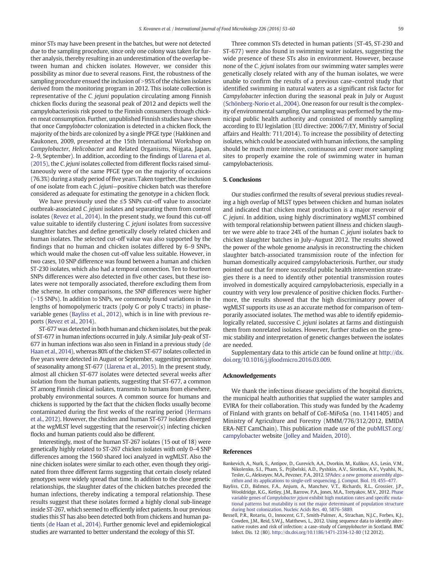minor STs may have been present in the batches, but were not detected due to the sampling procedure, since only one colony was taken for further analysis, thereby resulting in an underestimation of the overlap between human and chicken isolates. However, we consider this possibility as minor due to several reasons. First, the robustness of the sampling procedure ensued the inclusion of >95% of the chicken isolates derived from the monitoring program in 2012. This isolate collection is representative of the C. jejuni population circulating among Finnish chicken flocks during the seasonal peak of 2012 and depicts well the campylobacteriosis risk posed to the Finnish consumers through chicken meat consumption. Further, unpublished Finnish studies have shown that once Campylobacter colonization is detected in a chicken flock, the majority of the birds are colonized by a single PFGE type (Hakkinen and Kaukonen, 2009, presented at the 15th International Workshop on Campylobacter, Helicobacter and Related Organisms, Niigata, Japan, 2–9, September). In addition, according to the findings of Llarena et al. (2015), the C. jejuni isolates collected from different flocks raised simultaneously were of the same PFGE type on the majority of occasions (76.3%) during a study period of five years. Taken together, the inclusion of one isolate from each C. jejuni—positive chicken batch was therefore considered as adequate for estimating the genotype in a chicken flock.

We have previously used the ≤5 SNPs cut-off value to associate outbreak-associated C. jejuni isolates and separating them from control isolates (Revez et al., 2014). In the present study, we found this cut-off value suitable to identify clustering C. jejuni isolates from successive slaughter batches and define genetically closely related chicken and human isolates. The selected cut-off value was also supported by the findings that no human and chicken isolates differed by 6–9 SNPs, which would make the chosen cut-off value less suitable. However, in two cases, 10 SNP difference was found between a human and chicken ST-230 isolates, which also had a temporal connection. Ten to fourteen SNPs differences were also detected in five other cases, but these isolates were not temporally associated, therefore excluding them from the scheme. In other comparisons, the SNP differences were higher  $(>15$  SNPs). In addition to SNPs, we commonly found variations in the lengths of homopolymeric tracts (poly G or poly C tracts) in phasevariable genes (Bayliss et al., 2012), which is in line with previous reports (Revez et al., 2014).

ST-677 was detected in both human and chicken isolates, but the peak of ST-677 in human infections occurred in July. A similar July-peak of ST-677 in human infections was also seen in Finland in a previous study (de Haan et al., 2014), whereas 80% of the chicken ST-677 isolates collected in five years were detected in August or September, suggesting persistence of seasonality among ST-677 (Llarena et al., 2015). In the present study, almost all chicken ST-677 isolates were detected several weeks after isolation from the human patients, suggesting that ST-677, a common ST among Finnish clinical isolates, transmits to humans from elsewhere, probably environmental sources. A common source for humans and chickens is supported by the fact that the chicken flocks usually become contaminated during the first weeks of the rearing period (Hermans et al., 2012). However, the chicken and human ST-677 isolates diverged at the wgMLST level suggesting that the reservoir(s) infecting chicken flocks and human patients could also be different.

Interestingly, most of the human ST-267 isolates (15 out of 18) were genetically highly related to ST-267 chicken isolates with only 0–4 SNP differences among the 1560 shared loci analyzed in wgMLST. Also the nine chicken isolates were similar to each other, even though they originated from three different farms suggesting that certain closely related genotypes were widely spread that time. In addition to the close genetic relationships, the slaughter dates of the chicken batches preceded the human infections, thereby indicating a temporal relationship. These results suggest that these isolates formed a highly clonal sub-lineage inside ST-267, which seemed to efficiently infect patients. In our previous studies this ST has also been detected both from chickens and human patients (de Haan et al., 2014). Further genomic level and epidemiological studies are warranted to better understand the ecology of this ST.

Three common STs detected in human patients (ST-45, ST-230 and ST-677) were also found in swimming water isolates, suggesting the wide presence of these STs also in environment. However, because none of the C. jejuni isolates from our swimming water samples were genetically closely related with any of the human isolates, we were unable to confirm the results of a previous case–control study that identified swimming in natural waters as a significant risk factor for Campylobacter infection during the seasonal peak in July or August (Schönberg-Norio et al., 2004). One reason for our result is the complexity of environmental sampling. Our sampling was performed by the municipal public health authority and consisted of monthly sampling according to EU legislation (EU directive: 2006/7/EY, Ministry of Social affairs and Health: 711/2014). To increase the possibility of detecting isolates, which could be associated with human infections, the sampling should be much more intensive, continuous and cover more sampling sites to properly examine the role of swimming water in human campylobacteriosis.

#### 5. Conclusions

Our studies confirmed the results of several previous studies revealing a high overlap of MLST types between chicken and human isolates and indicated that chicken meat production is a major reservoir of C. jejuni. In addition, using highly discriminatory wgMLST combined with temporal relationship between patient illness and chicken slaughter we were able to trace 24% of the human C. jejuni isolates back to chicken slaughter batches in July–August 2012. The results showed the power of the whole genome analysis in reconstructing the chicken slaughter batch-associated transmission route of the infection for human domestically acquired campylobacteriosis. Further, our study pointed out that for more successful public health intervention strategies there is a need to identify other potential transmission routes involved in domestically acquired campylobacteriosis, especially in a country with very low prevalence of positive chicken flocks. Furthermore, the results showed that the high discriminatory power of wgMLST supports its use as an accurate method for comparison of temporarily associated isolates. The method was able to identify epidemiologically related, successive C. jejuni isolates at farms and distinguish them from nonrelated isolates. However, further studies on the genomic stability and interpretation of genetic changes between the isolates are needed.

Supplementary data to this article can be found online at [http://dx.](doi:10.1016/j.ijfoodmicro.2016.03.009) [doi.org/10.1016/j.ijfoodmicro.2016.03.009](doi:10.1016/j.ijfoodmicro.2016.03.009).

#### Acknowledgements

We thank the infectious disease specialists of the hospital districts, the municipal health authorities that supplied the water samples and EVIRA for their collaboration. This study was funded by the Academy of Finland with grants on behalf of CoE-MiFoSa (no. 11411405) and Ministry of Agriculture and Forestry (MMM/776/312/2012, EMIDA ERA-NET CamChain). This publication made use of the [pubMLST.org/](http://pubMLST.org/campylobacter) [campylobacter](http://pubMLST.org/campylobacter) website (Jolley and Maiden, 2010).

#### References

- Bankevich, A., Nurk, S., Antipov, D., Gurevich, A.A., Dvorkin, M., Kulikov, A.S., Lesin, V.M., Nikolenko, S.I., Pham, S., Prjibelski, A.D., Pyshkin, A.V., Sirotkin, A.V., Vyahhi, N., Tesler, G., Alekseyev, M.A., Pevzner, P.A., 2012. [SPAdes: a new genome assembly algo-](http://refhub.elsevier.com/S0168-1605(16)30113-1/rf0005)
- [rithm and its applications to single-cell sequencing. J. Comput. Biol. 19, 455](http://refhub.elsevier.com/S0168-1605(16)30113-1/rf0005)–477. Bayliss, C.D., Bidmos, F.A., Anjum, A., Manchev, V.T., Richards, R.L., Grossier, J.P., Wooldridge, K.G., Ketley, J.M., Barrow, P.A., Jones, M.A., Tretyakov, M.V., 2012. [Phase](http://refhub.elsevier.com/S0168-1605(16)30113-1/rf0010) variable genes of Campylobacter jejuni [exhibit high mutation rates and speci](http://refhub.elsevier.com/S0168-1605(16)30113-1/rf0010)fic muta[tional patterns but mutability is not the major determinant of population structure](http://refhub.elsevier.com/S0168-1605(16)30113-1/rf0010) [during host colonization. Nucleic Acids Res. 40, 5876](http://refhub.elsevier.com/S0168-1605(16)30113-1/rf0010)–5889.
- Bessell, P.R., Rotariu, O., Innocent, G.T., Smith-Palmer, A., Strachan, N.J.C., Forbes, K.J., Cowden, J.M., Reid, S.W.J., Matthews, L., 2012. Using sequence data to identify alternative routes and risk of infection: a case–study of Campylobacter in Scotland. BMC Infect. Dis. 12 (80). http://dx.doi.org[/10.1186/1471-2334-12-80](http://dx.doi.org/10.1186/1471-2334-12-80) (12 2012).